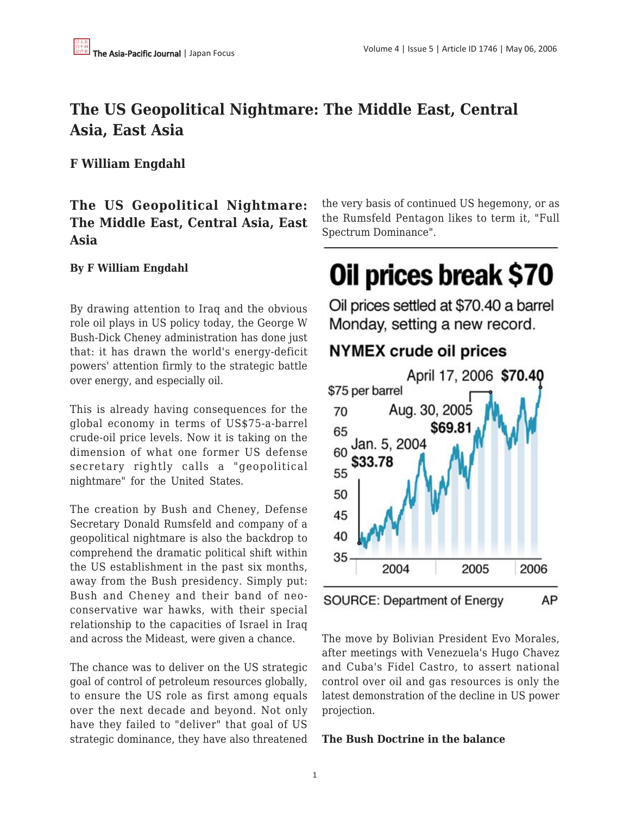# **The US Geopolitical Nightmare: The Middle East, Central Asia, East Asia**

### **F William Engdahl**

## **The US Geopolitical Nightmare: The Middle East, Central Asia, East Asia**

#### **By F William Engdahl**

By drawing attention to Iraq and the obvious role oil plays in US policy today, the George W Bush-Dick Cheney administration has done just that: it has drawn the world's energy-deficit powers' attention firmly to the strategic battle over energy, and especially oil.

This is already having consequences for the global economy in terms of US\$75-a-barrel crude-oil price levels. Now it is taking on the dimension of what one former US defense secretary rightly calls a "geopolitical nightmare" for the United States.

The creation by Bush and Cheney, Defense Secretary Donald Rumsfeld and company of a geopolitical nightmare is also the backdrop to comprehend the dramatic political shift within the US establishment in the past six months, away from the Bush presidency. Simply put: Bush and Cheney and their band of neoconservative war hawks, with their special relationship to the capacities of Israel in Iraq and across the Mideast, were given a chance.

The chance was to deliver on the US strategic goal of control of petroleum resources globally, to ensure the US role as first among equals over the next decade and beyond. Not only have they failed to "deliver" that goal of US strategic dominance, they have also threatened the very basis of continued US hegemony, or as the Rumsfeld Pentagon likes to term it, "Full Spectrum Dominance".

# Oil prices break \$70

Oil prices settled at \$70.40 a barrel Monday, setting a new record.

## **NYMEX crude oil prices**



The move by Bolivian President Evo Morales, after meetings with Venezuela's Hugo Chavez and Cuba's Fidel Castro, to assert national control over oil and gas resources is only the latest demonstration of the decline in US power projection.

#### **The Bush Doctrine in the balance**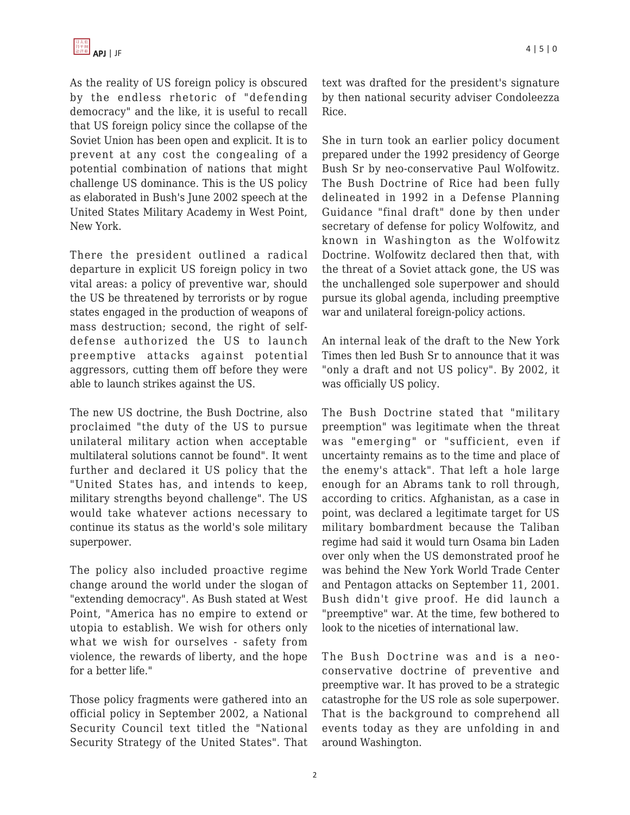As the reality of US foreign policy is obscured by the endless rhetoric of "defending democracy" and the like, it is useful to recall that US foreign policy since the collapse of the Soviet Union has been open and explicit. It is to prevent at any cost the congealing of a potential combination of nations that might challenge US dominance. This is the US policy as elaborated in Bush's June 2002 speech at the United States Military Academy in West Point, New York.

There the president outlined a radical departure in explicit US foreign policy in two vital areas: a policy of preventive war, should the US be threatened by terrorists or by rogue states engaged in the production of weapons of mass destruction; second, the right of selfdefense authorized the US to launch preemptive attacks against potential aggressors, cutting them off before they were able to launch strikes against the US.

The new US doctrine, the Bush Doctrine, also proclaimed "the duty of the US to pursue unilateral military action when acceptable multilateral solutions cannot be found". It went further and declared it US policy that the "United States has, and intends to keep, military strengths beyond challenge". The US would take whatever actions necessary to continue its status as the world's sole military superpower.

The policy also included proactive regime change around the world under the slogan of "extending democracy". As Bush stated at West Point, "America has no empire to extend or utopia to establish. We wish for others only what we wish for ourselves - safety from violence, the rewards of liberty, and the hope for a better life."

Those policy fragments were gathered into an official policy in September 2002, a National Security Council text titled the "National Security Strategy of the United States". That text was drafted for the president's signature by then national security adviser Condoleezza Rice.

She in turn took an earlier policy document prepared under the 1992 presidency of George Bush Sr by neo-conservative Paul Wolfowitz. The Bush Doctrine of Rice had been fully delineated in 1992 in a Defense Planning Guidance "final draft" done by then under secretary of defense for policy Wolfowitz, and known in Washington as the Wolfowitz Doctrine. Wolfowitz declared then that, with the threat of a Soviet attack gone, the US was the unchallenged sole superpower and should pursue its global agenda, including preemptive war and unilateral foreign-policy actions.

An internal leak of the draft to the New York Times then led Bush Sr to announce that it was "only a draft and not US policy". By 2002, it was officially US policy.

The Bush Doctrine stated that "military preemption" was legitimate when the threat was "emerging" or "sufficient, even if uncertainty remains as to the time and place of the enemy's attack". That left a hole large enough for an Abrams tank to roll through, according to critics. Afghanistan, as a case in point, was declared a legitimate target for US military bombardment because the Taliban regime had said it would turn Osama bin Laden over only when the US demonstrated proof he was behind the New York World Trade Center and Pentagon attacks on September 11, 2001. Bush didn't give proof. He did launch a "preemptive" war. At the time, few bothered to look to the niceties of international law.

The Bush Doctrine was and is a neoconservative doctrine of preventive and preemptive war. It has proved to be a strategic catastrophe for the US role as sole superpower. That is the background to comprehend all events today as they are unfolding in and around Washington.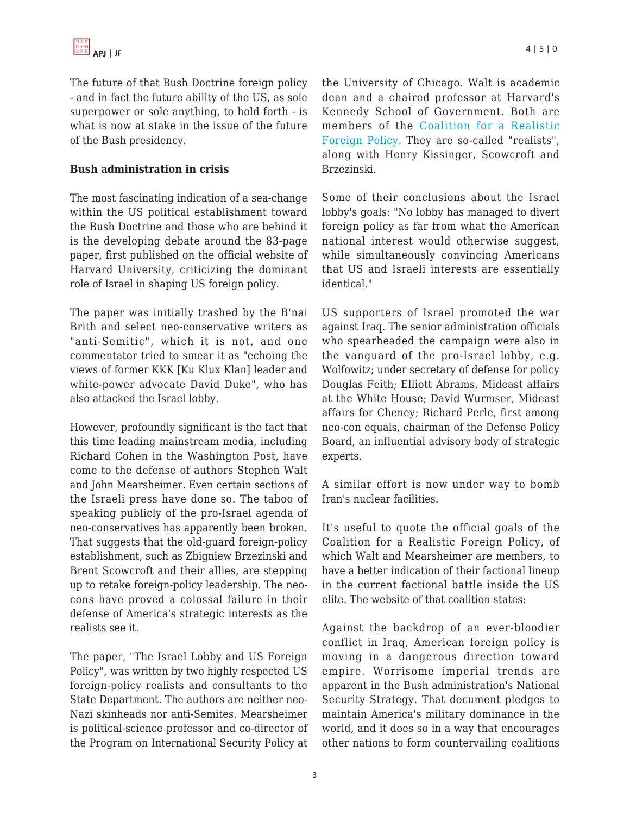The future of that Bush Doctrine foreign policy - and in fact the future ability of the US, as sole superpower or sole anything, to hold forth - is what is now at stake in the issue of the future of the Bush presidency.

#### **Bush administration in crisis**

The most fascinating indication of a sea-change within the US political establishment toward the Bush Doctrine and those who are behind it is the developing debate around the 83-page paper, first published on the official website of Harvard University, criticizing the dominant role of Israel in shaping US foreign policy.

The paper was initially trashed by the B'nai Brith and select neo-conservative writers as "anti-Semitic", which it is not, and one commentator tried to smear it as "echoing the views of former KKK [Ku Klux Klan] leader and white-power advocate David Duke", who has also attacked the Israel lobby.

However, profoundly significant is the fact that this time leading mainstream media, including Richard Cohen in the Washington Post, have come to the defense of authors Stephen Walt and John Mearsheimer. Even certain sections of the Israeli press have done so. The taboo of speaking publicly of the pro-Israel agenda of neo-conservatives has apparently been broken. That suggests that the old-guard foreign-policy establishment, such as Zbigniew Brzezinski and Brent Scowcroft and their allies, are stepping up to retake foreign-policy leadership. The neocons have proved a colossal failure in their defense of America's strategic interests as the realists see it.

The paper, "The Israel Lobby and US Foreign Policy", was written by two highly respected US foreign-policy realists and consultants to the State Department. The authors are neither neo-Nazi skinheads nor anti-Semites. Mearsheimer is political-science professor and co-director of the Program on International Security Policy at the University of Chicago. Walt is academic dean and a chaired professor at Harvard's Kennedy School of Government. Both are members of the [Coalition for a Realistic](http://www.realisticforeignpolicy.org/static/000024.php) [Foreign Policy.](http://www.realisticforeignpolicy.org/static/000024.php) They are so-called "realists", along with Henry Kissinger, Scowcroft and Brzezinski.

Some of their conclusions about the Israel lobby's goals: "No lobby has managed to divert foreign policy as far from what the American national interest would otherwise suggest, while simultaneously convincing Americans that US and Israeli interests are essentially identical."

US supporters of Israel promoted the war against Iraq. The senior administration officials who spearheaded the campaign were also in the vanguard of the pro-Israel lobby, e.g. Wolfowitz; under secretary of defense for policy Douglas Feith; Elliott Abrams, Mideast affairs at the White House; David Wurmser, Mideast affairs for Cheney; Richard Perle, first among neo-con equals, chairman of the Defense Policy Board, an influential advisory body of strategic experts.

A similar effort is now under way to bomb Iran's nuclear facilities.

It's useful to quote the official goals of the Coalition for a Realistic Foreign Policy, of which Walt and Mearsheimer are members, to have a better indication of their factional lineup in the current factional battle inside the US elite. The website of that coalition states:

Against the backdrop of an ever-bloodier conflict in Iraq, American foreign policy is moving in a dangerous direction toward empire. Worrisome imperial trends are apparent in the Bush administration's National Security Strategy. That document pledges to maintain America's military dominance in the world, and it does so in a way that encourages other nations to form countervailing coalitions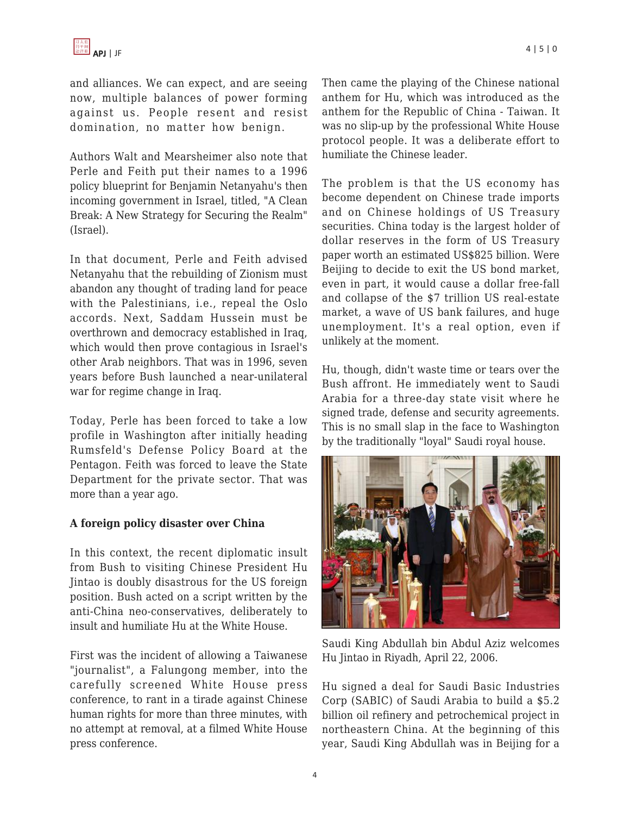and alliances. We can expect, and are seeing now, multiple balances of power forming against us. People resent and resist domination, no matter how benign.

Authors Walt and Mearsheimer also note that Perle and Feith put their names to a 1996 policy blueprint for Benjamin Netanyahu's then incoming government in Israel, titled, "A Clean Break: A New Strategy for Securing the Realm" (Israel).

In that document, Perle and Feith advised Netanyahu that the rebuilding of Zionism must abandon any thought of trading land for peace with the Palestinians, i.e., repeal the Oslo accords. Next, Saddam Hussein must be overthrown and democracy established in Iraq, which would then prove contagious in Israel's other Arab neighbors. That was in 1996, seven years before Bush launched a near-unilateral war for regime change in Iraq.

Today, Perle has been forced to take a low profile in Washington after initially heading Rumsfeld's Defense Policy Board at the Pentagon. Feith was forced to leave the State Department for the private sector. That was more than a year ago.

#### **A foreign policy disaster over China**

In this context, the recent diplomatic insult from Bush to visiting Chinese President Hu Jintao is doubly disastrous for the US foreign position. Bush acted on a script written by the anti-China neo-conservatives, deliberately to insult and humiliate Hu at the White House.

First was the incident of allowing a Taiwanese "journalist", a Falungong member, into the carefully screened White House press conference, to rant in a tirade against Chinese human rights for more than three minutes, with no attempt at removal, at a filmed White House press conference.

Then came the playing of the Chinese national anthem for Hu, which was introduced as the anthem for the Republic of China - Taiwan. It was no slip-up by the professional White House protocol people. It was a deliberate effort to humiliate the Chinese leader.

The problem is that the US economy has become dependent on Chinese trade imports and on Chinese holdings of US Treasury securities. China today is the largest holder of dollar reserves in the form of US Treasury paper worth an estimated US\$825 billion. Were Beijing to decide to exit the US bond market, even in part, it would cause a dollar free-fall and collapse of the \$7 trillion US real-estate market, a wave of US bank failures, and huge unemployment. It's a real option, even if unlikely at the moment.

Hu, though, didn't waste time or tears over the Bush affront. He immediately went to Saudi Arabia for a three-day state visit where he signed trade, defense and security agreements. This is no small slap in the face to Washington by the traditionally "loyal" Saudi royal house.



Saudi King Abdullah bin Abdul Aziz welcomes Hu Jintao in Riyadh, April 22, 2006.

Hu signed a deal for Saudi Basic Industries Corp (SABIC) of Saudi Arabia to build a \$5.2 billion oil refinery and petrochemical project in northeastern China. At the beginning of this year, Saudi King Abdullah was in Beijing for a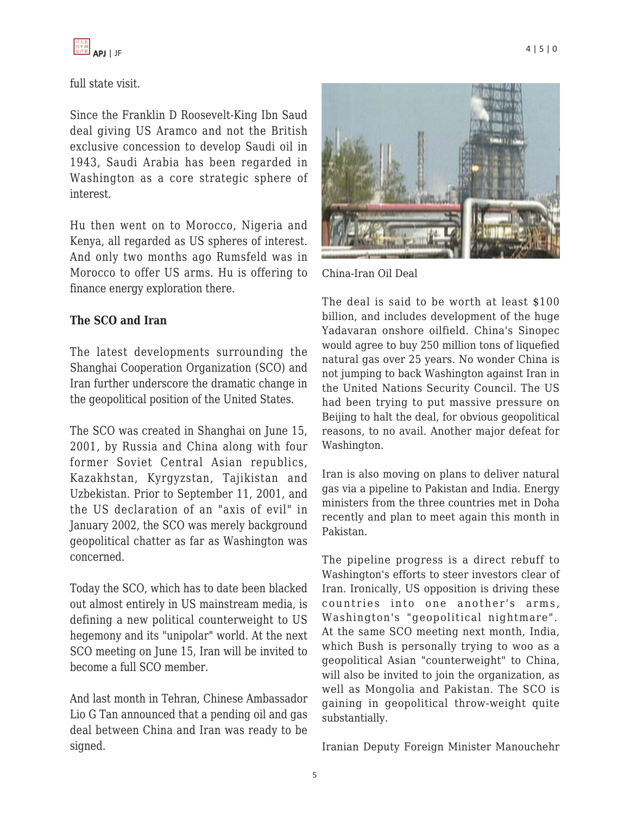full state visit.

Since the Franklin D Roosevelt-King Ibn Saud deal giving US Aramco and not the British exclusive concession to develop Saudi oil in 1943, Saudi Arabia has been regarded in Washington as a core strategic sphere of interest.

Hu then went on to Morocco, Nigeria and Kenya, all regarded as US spheres of interest. And only two months ago Rumsfeld was in Morocco to offer US arms. Hu is offering to finance energy exploration there.

#### **The SCO and Iran**

The latest developments surrounding the Shanghai Cooperation Organization (SCO) and Iran further underscore the dramatic change in the geopolitical position of the United States.

The SCO was created in Shanghai on June 15, 2001, by Russia and China along with four former Soviet Central Asian republics, Kazakhstan, Kyrgyzstan, Tajikistan and Uzbekistan. Prior to September 11, 2001, and the US declaration of an "axis of evil" in January 2002, the SCO was merely background geopolitical chatter as far as Washington was concerned.

Today the SCO, which has to date been blacked out almost entirely in US mainstream media, is defining a new political counterweight to US hegemony and its "unipolar" world. At the next SCO meeting on June 15, Iran will be invited to become a full SCO member.

And last month in Tehran, Chinese Ambassador Lio G Tan announced that a pending oil and gas deal between China and Iran was ready to be signed.



China-Iran Oil Deal

The deal is said to be worth at least \$100 billion, and includes development of the huge Yadavaran onshore oilfield. China's Sinopec would agree to buy 250 million tons of liquefied natural gas over 25 years. No wonder China is not jumping to back Washington against Iran in the United Nations Security Council. The US had been trying to put massive pressure on Beijing to halt the deal, for obvious geopolitical reasons, to no avail. Another major defeat for Washington.

Iran is also moving on plans to deliver natural gas via a pipeline to Pakistan and India. Energy ministers from the three countries met in Doha recently and plan to meet again this month in Pakistan.

The pipeline progress is a direct rebuff to Washington's efforts to steer investors clear of Iran. Ironically, US opposition is driving these countries into one another's arms, Washington's "geopolitical nightmare". At the same SCO meeting next month, India, which Bush is personally trying to woo as a geopolitical Asian "counterweight" to China, will also be invited to join the organization, as well as Mongolia and Pakistan. The SCO is gaining in geopolitical throw-weight quite substantially.

Iranian Deputy Foreign Minister Manouchehr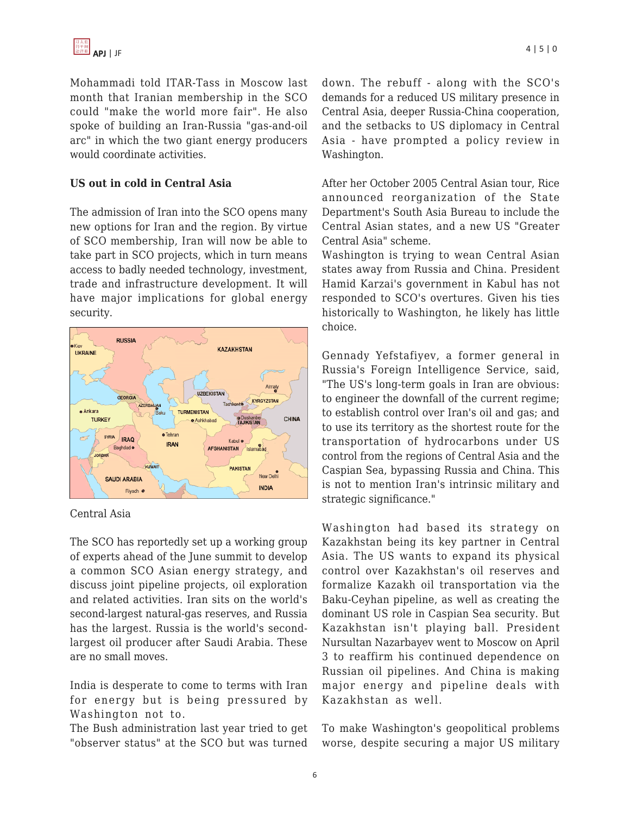Mohammadi told ITAR-Tass in Moscow last month that Iranian membership in the SCO could "make the world more fair". He also spoke of building an Iran-Russia "gas-and-oil arc" in which the two giant energy producers would coordinate activities.

#### **US out in cold in Central Asia**

The admission of Iran into the SCO opens many new options for Iran and the region. By virtue of SCO membership, Iran will now be able to take part in SCO projects, which in turn means access to badly needed technology, investment, trade and infrastructure development. It will have major implications for global energy security.



Central Asia

The SCO has reportedly set up a working group of experts ahead of the June summit to develop a common SCO Asian energy strategy, and discuss joint pipeline projects, oil exploration and related activities. Iran sits on the world's second-largest natural-gas reserves, and Russia has the largest. Russia is the world's secondlargest oil producer after Saudi Arabia. These are no small moves.

India is desperate to come to terms with Iran for energy but is being pressured by Washington not to.

The Bush administration last year tried to get "observer status" at the SCO but was turned down. The rebuff - along with the SCO's demands for a reduced US military presence in Central Asia, deeper Russia-China cooperation, and the setbacks to US diplomacy in Central Asia - have prompted a policy review in Washington.

After her October 2005 Central Asian tour, Rice announced reorganization of the State Department's South Asia Bureau to include the Central Asian states, and a new US "Greater Central Asia" scheme.

Washington is trying to wean Central Asian states away from Russia and China. President Hamid Karzai's government in Kabul has not responded to SCO's overtures. Given his ties historically to Washington, he likely has little choice.

Gennady Yefstafiyev, a former general in Russia's Foreign Intelligence Service, said, "The US's long-term goals in Iran are obvious: to engineer the downfall of the current regime; to establish control over Iran's oil and gas; and to use its territory as the shortest route for the transportation of hydrocarbons under US control from the regions of Central Asia and the Caspian Sea, bypassing Russia and China. This is not to mention Iran's intrinsic military and strategic significance."

Washington had based its strategy on Kazakhstan being its key partner in Central Asia. The US wants to expand its physical control over Kazakhstan's oil reserves and formalize Kazakh oil transportation via the Baku-Ceyhan pipeline, as well as creating the dominant US role in Caspian Sea security. But Kazakhstan isn't playing ball. President Nursultan Nazarbayev went to Moscow on April 3 to reaffirm his continued dependence on Russian oil pipelines. And China is making major energy and pipeline deals with Kazakhstan as well.

To make Washington's geopolitical problems worse, despite securing a major US military